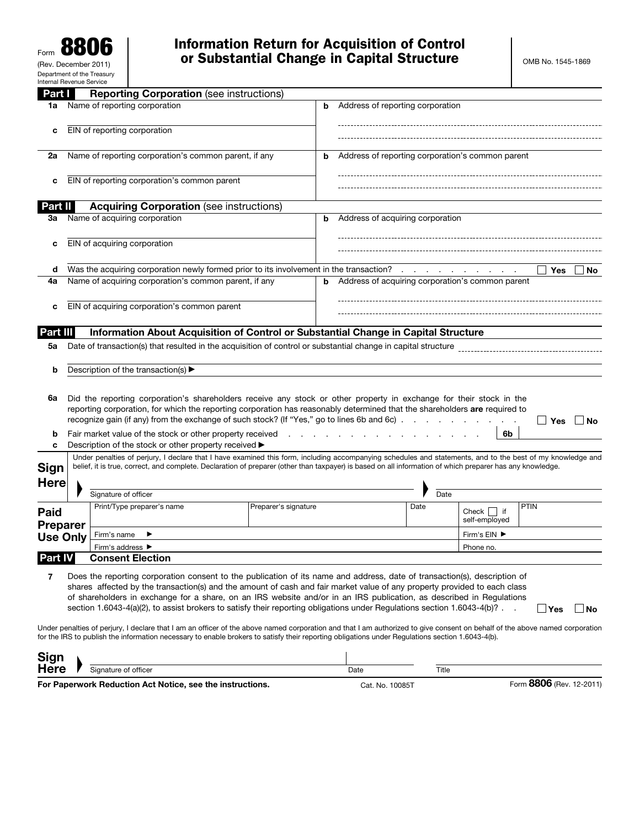| Part I              | <b>Reporting Corporation (see instructions)</b>                                                                                                                                                                                                                                                                                                                                                                                                                                                            |                                                                 |                                                  |       |                                    |            |     |
|---------------------|------------------------------------------------------------------------------------------------------------------------------------------------------------------------------------------------------------------------------------------------------------------------------------------------------------------------------------------------------------------------------------------------------------------------------------------------------------------------------------------------------------|-----------------------------------------------------------------|--------------------------------------------------|-------|------------------------------------|------------|-----|
| 1a                  | Name of reporting corporation                                                                                                                                                                                                                                                                                                                                                                                                                                                                              | b                                                               | Address of reporting corporation                 |       |                                    |            |     |
| c                   | EIN of reporting corporation                                                                                                                                                                                                                                                                                                                                                                                                                                                                               |                                                                 |                                                  |       |                                    |            |     |
| 2a                  | Name of reporting corporation's common parent, if any                                                                                                                                                                                                                                                                                                                                                                                                                                                      | b                                                               | Address of reporting corporation's common parent |       |                                    |            |     |
| c                   | EIN of reporting corporation's common parent                                                                                                                                                                                                                                                                                                                                                                                                                                                               |                                                                 |                                                  |       |                                    |            |     |
| Part II             | <b>Acquiring Corporation (see instructions)</b>                                                                                                                                                                                                                                                                                                                                                                                                                                                            |                                                                 |                                                  |       |                                    |            |     |
| За                  | Name of acquiring corporation                                                                                                                                                                                                                                                                                                                                                                                                                                                                              | b                                                               | Address of acquiring corporation                 |       |                                    |            |     |
|                     |                                                                                                                                                                                                                                                                                                                                                                                                                                                                                                            |                                                                 |                                                  |       |                                    |            |     |
| c                   | EIN of acquiring corporation                                                                                                                                                                                                                                                                                                                                                                                                                                                                               |                                                                 |                                                  |       |                                    |            |     |
| d                   | Was the acquiring corporation newly formed prior to its involvement in the transaction?                                                                                                                                                                                                                                                                                                                                                                                                                    |                                                                 |                                                  |       | the control of the control of the  | Yes        | No  |
| 4a                  | Name of acquiring corporation's common parent, if any                                                                                                                                                                                                                                                                                                                                                                                                                                                      | b                                                               | Address of acquiring corporation's common parent |       |                                    |            |     |
| c                   | EIN of acquiring corporation's common parent                                                                                                                                                                                                                                                                                                                                                                                                                                                               |                                                                 |                                                  |       |                                    |            |     |
| Part III            | Information About Acquisition of Control or Substantial Change in Capital Structure                                                                                                                                                                                                                                                                                                                                                                                                                        |                                                                 |                                                  |       |                                    |            |     |
| 5a                  | Date of transaction(s) that resulted in the acquisition of control or substantial change in capital structure                                                                                                                                                                                                                                                                                                                                                                                              |                                                                 |                                                  |       |                                    |            |     |
| b                   | Description of the transaction(s) ▶                                                                                                                                                                                                                                                                                                                                                                                                                                                                        |                                                                 |                                                  |       |                                    |            |     |
| 6a<br>b             | Did the reporting corporation's shareholders receive any stock or other property in exchange for their stock in the<br>reporting corporation, for which the reporting corporation has reasonably determined that the shareholders are required to<br>recognize gain (if any) from the exchange of such stock? (If "Yes," go to lines 6b and 6c).<br>Fair market value of the stock or other property received                                                                                              | $\mathbf{r}$ and $\mathbf{r}$ and $\mathbf{r}$ and $\mathbf{r}$ |                                                  |       | 6b                                 | ∣ I Yes    | No  |
| c                   | Description of the stock or other property received ▶                                                                                                                                                                                                                                                                                                                                                                                                                                                      |                                                                 |                                                  |       |                                    |            |     |
| Sign<br><b>Here</b> | Under penalties of perjury, I declare that I have examined this form, including accompanying schedules and statements, and to the best of my knowledge and<br>belief, it is true, correct, and complete. Declaration of preparer (other than taxpayer) is based on all information of which preparer has any knowledge.                                                                                                                                                                                    |                                                                 |                                                  |       |                                    |            |     |
|                     | Signature of officer                                                                                                                                                                                                                                                                                                                                                                                                                                                                                       |                                                                 |                                                  | Date  |                                    |            |     |
| Paid                | Print/Type preparer's name                                                                                                                                                                                                                                                                                                                                                                                                                                                                                 | Preparer's signature                                            |                                                  | Date  | Check  <br>$ $ if<br>self-employed | PTIN       |     |
| <b>Preparer</b>     | Firm's name                                                                                                                                                                                                                                                                                                                                                                                                                                                                                                |                                                                 |                                                  |       | Firm's EIN ▶                       |            |     |
| <b>Use Only</b>     | Firm's address ▶                                                                                                                                                                                                                                                                                                                                                                                                                                                                                           |                                                                 |                                                  |       | Phone no.                          |            |     |
| <b>Part IV</b>      | <b>Consent Election</b>                                                                                                                                                                                                                                                                                                                                                                                                                                                                                    |                                                                 |                                                  |       |                                    |            |     |
| 7                   | Does the reporting corporation consent to the publication of its name and address, date of transaction(s), description of<br>shares affected by the transaction(s) and the amount of cash and fair market value of any property provided to each class<br>of shareholders in exchange for a share, on an IRS website and/or in an IRS publication, as described in Regulations<br>section 1.6043-4(a)(2), to assist brokers to satisfy their reporting obligations under Regulations section 1.6043-4(b)?. |                                                                 |                                                  |       |                                    | $\Box$ Yes | ⊥No |
|                     | Under penalties of perjury, I declare that I am an officer of the above named corporation and that I am authorized to give consent on behalf of the above named corporation<br>for the IRS to publish the information necessary to enable brokers to satisfy their reporting obligations under Regulations section 1.6043-4(b).                                                                                                                                                                            |                                                                 |                                                  |       |                                    |            |     |
| <b>Sign</b>         |                                                                                                                                                                                                                                                                                                                                                                                                                                                                                                            |                                                                 |                                                  |       |                                    |            |     |
| <b>Here</b>         | Signature of officer                                                                                                                                                                                                                                                                                                                                                                                                                                                                                       |                                                                 | Date                                             | Title |                                    |            |     |

For Paperwork Reduction Act Notice, see the instructions. Cat. No. 10085T Form 8806 (Rev. 12-2011)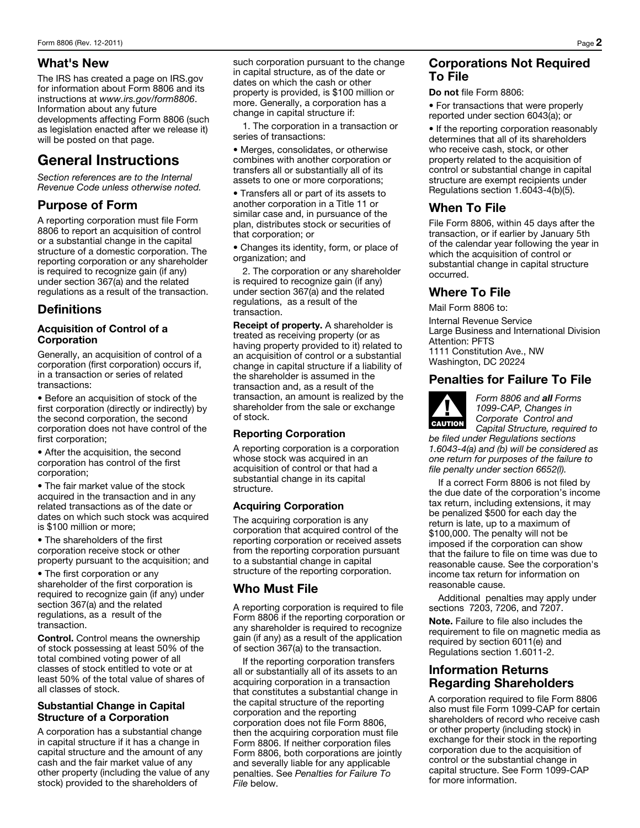#### What's New

The IRS has created a page on IRS.gov for information about Form 8806 and its instructions at *www.irs.gov/form8806*. Information about any future developments affecting Form 8806 (such as legislation enacted after we release it) will be posted on that page.

# General Instructions

*Section references are to the Internal Revenue Code unless otherwise noted.* 

## Purpose of Form

A reporting corporation must file Form 8806 to report an acquisition of control or a substantial change in the capital structure of a domestic corporation. The reporting corporation or any shareholder is required to recognize gain (if any) under section 367(a) and the related regulations as a result of the transaction.

## **Definitions**

#### Acquisition of Control of a Corporation

Generally, an acquisition of control of a corporation (first corporation) occurs if, in a transaction or series of related transactions:

• Before an acquisition of stock of the first corporation (directly or indirectly) by the second corporation, the second corporation does not have control of the first corporation;

• After the acquisition, the second corporation has control of the first corporation;

• The fair market value of the stock acquired in the transaction and in any related transactions as of the date or dates on which such stock was acquired is \$100 million or more;

• The shareholders of the first corporation receive stock or other property pursuant to the acquisition; and

• The first corporation or any shareholder of the first corporation is required to recognize gain (if any) under section 367(a) and the related regulations, as a result of the transaction.

Control. Control means the ownership of stock possessing at least 50% of the total combined voting power of all classes of stock entitled to vote or at least 50% of the total value of shares of all classes of stock.

#### Substantial Change in Capital Structure of a Corporation

A corporation has a substantial change in capital structure if it has a change in capital structure and the amount of any cash and the fair market value of any other property (including the value of any stock) provided to the shareholders of

such corporation pursuant to the change in capital structure, as of the date or dates on which the cash or other property is provided, is \$100 million or more. Generally, a corporation has a change in capital structure if:

1. The corporation in a transaction or series of transactions:

• Merges, consolidates, or otherwise combines with another corporation or transfers all or substantially all of its assets to one or more corporations;

• Transfers all or part of its assets to another corporation in a Title 11 or similar case and, in pursuance of the plan, distributes stock or securities of that corporation; or

• Changes its identity, form, or place of organization; and

2. The corporation or any shareholder is required to recognize gain (if any) under section 367(a) and the related regulations, as a result of the transaction.

Receipt of property. A shareholder is treated as receiving property (or as having property provided to it) related to an acquisition of control or a substantial change in capital structure if a liability of the shareholder is assumed in the transaction and, as a result of the transaction, an amount is realized by the shareholder from the sale or exchange of stock.

#### Reporting Corporation

A reporting corporation is a corporation whose stock was acquired in an acquisition of control or that had a substantial change in its capital structure.

#### Acquiring Corporation

The acquiring corporation is any corporation that acquired control of the reporting corporation or received assets from the reporting corporation pursuant to a substantial change in capital structure of the reporting corporation.

#### Who Must File

A reporting corporation is required to file Form 8806 if the reporting corporation or any shareholder is required to recognize gain (if any) as a result of the application of section 367(a) to the transaction.

If the reporting corporation transfers all or substantially all of its assets to an acquiring corporation in a transaction that constitutes a substantial change in the capital structure of the reporting corporation and the reporting corporation does not file Form 8806, then the acquiring corporation must file Form 8806. If neither corporation files Form 8806, both corporations are jointly and severally liable for any applicable penalties. See *Penalties for Failure To File* below.

## Corporations Not Required To File

Do not file Form 8806:

• For transactions that were properly reported under section 6043(a); or

• If the reporting corporation reasonably determines that all of its shareholders who receive cash, stock, or other property related to the acquisition of control or substantial change in capital structure are exempt recipients under Regulations section 1.6043-4(b)(5).

## When To File

File Form 8806, within 45 days after the transaction, or if earlier by January 5th of the calendar year following the year in which the acquisition of control or substantial change in capital structure occurred.

#### Where To File

Mail Form 8806 to:

Internal Revenue Service Large Business and International Division Attention: PFTS 1111 Constitution Ave., NW Washington, DC 20224

## Penalties for Failure To File



*Form 8806 and all Forms 1099-CAP, Changes in Corporate Control and Capital Structure, required to* 

*be filed under Regulations sections 1.6043-4(a) and (b) will be considered as one return for purposes of the failure to file penalty under section 6652(l).* 

If a correct Form 8806 is not filed by the due date of the corporation's income tax return, including extensions, it may be penalized \$500 for each day the return is late, up to a maximum of \$100,000. The penalty will not be imposed if the corporation can show that the failure to file on time was due to reasonable cause. See the corporation's income tax return for information on reasonable cause.

Additional penalties may apply under sections 7203, 7206, and 7207.

Note. Failure to file also includes the requirement to file on magnetic media as required by section 6011(e) and Regulations section 1.6011-2.

## Information Returns Regarding Shareholders

A corporation required to file Form 8806 also must file Form 1099-CAP for certain shareholders of record who receive cash or other property (including stock) in exchange for their stock in the reporting corporation due to the acquisition of control or the substantial change in capital structure. See Form 1099-CAP for more information.